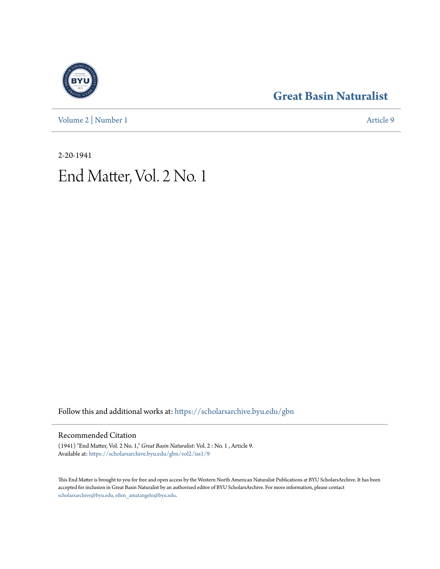### **[Great Basin Naturalist](https://scholarsarchive.byu.edu/gbn?utm_source=scholarsarchive.byu.edu%2Fgbn%2Fvol2%2Fiss1%2F9&utm_medium=PDF&utm_campaign=PDFCoverPages)**



[Volume 2](https://scholarsarchive.byu.edu/gbn/vol2?utm_source=scholarsarchive.byu.edu%2Fgbn%2Fvol2%2Fiss1%2F9&utm_medium=PDF&utm_campaign=PDFCoverPages) | [Number 1](https://scholarsarchive.byu.edu/gbn/vol2/iss1?utm_source=scholarsarchive.byu.edu%2Fgbn%2Fvol2%2Fiss1%2F9&utm_medium=PDF&utm_campaign=PDFCoverPages) [Article 9](https://scholarsarchive.byu.edu/gbn/vol2/iss1/9?utm_source=scholarsarchive.byu.edu%2Fgbn%2Fvol2%2Fiss1%2F9&utm_medium=PDF&utm_campaign=PDFCoverPages)

## 2-20-1941 End Matter, Vol. 2 No. 1

Follow this and additional works at: [https://scholarsarchive.byu.edu/gbn](https://scholarsarchive.byu.edu/gbn?utm_source=scholarsarchive.byu.edu%2Fgbn%2Fvol2%2Fiss1%2F9&utm_medium=PDF&utm_campaign=PDFCoverPages)

### Recommended Citation

(1941) "End Matter, Vol. 2 No. 1," *Great Basin Naturalist*: Vol. 2 : No. 1 , Article 9. Available at: [https://scholarsarchive.byu.edu/gbn/vol2/iss1/9](https://scholarsarchive.byu.edu/gbn/vol2/iss1/9?utm_source=scholarsarchive.byu.edu%2Fgbn%2Fvol2%2Fiss1%2F9&utm_medium=PDF&utm_campaign=PDFCoverPages)

This End Matter is brought to you for free and open access by the Western North American Naturalist Publications at BYU ScholarsArchive. It has been accepted for inclusion in Great Basin Naturalist by an authorized editor of BYU ScholarsArchive. For more information, please contact [scholarsarchive@byu.edu, ellen\\_amatangelo@byu.edu.](mailto:scholarsarchive@byu.edu,%20ellen_amatangelo@byu.edu)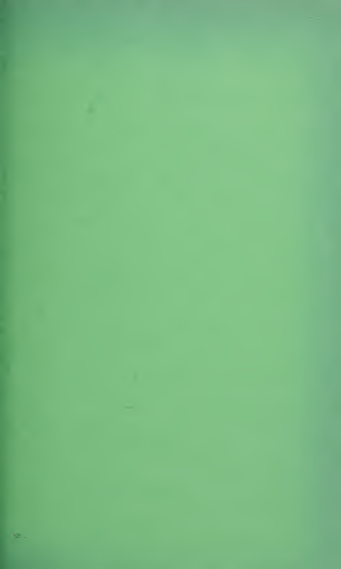